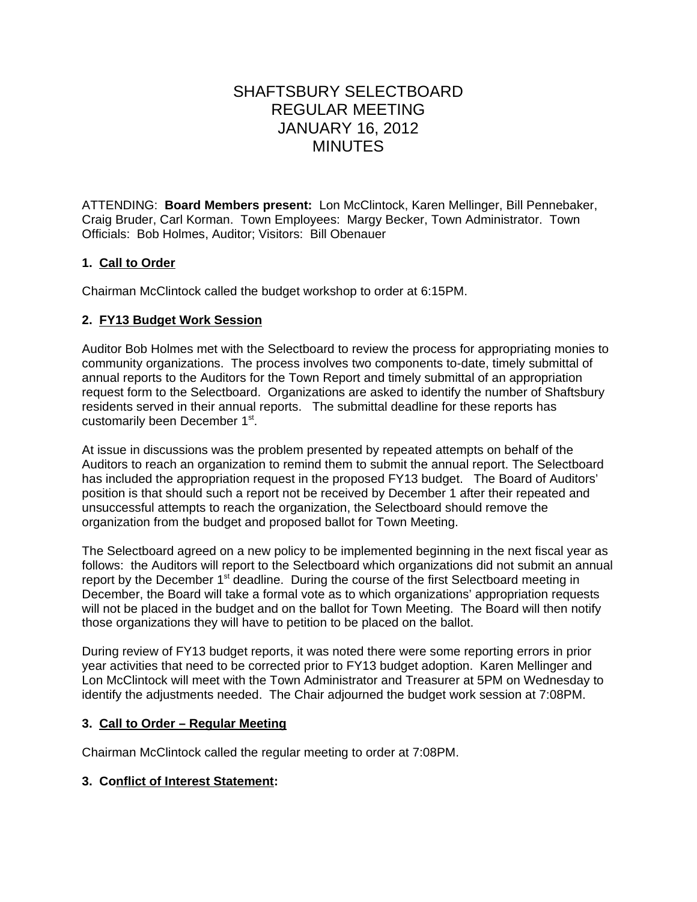# SHAFTSBURY SELECTBOARD REGULAR MEETING JANUARY 16, 2012 MINUTES

ATTENDING: **Board Members present:** Lon McClintock, Karen Mellinger, Bill Pennebaker, Craig Bruder, Carl Korman. Town Employees:Margy Becker, Town Administrator. Town Officials: Bob Holmes, Auditor; Visitors: Bill Obenauer

## **1. Call to Order**

Chairman McClintock called the budget workshop to order at 6:15PM.

## **2. FY13 Budget Work Session**

Auditor Bob Holmes met with the Selectboard to review the process for appropriating monies to community organizations. The process involves two components to-date, timely submittal of annual reports to the Auditors for the Town Report and timely submittal of an appropriation request form to the Selectboard. Organizations are asked to identify the number of Shaftsbury residents served in their annual reports. The submittal deadline for these reports has customarily been December 1st.

At issue in discussions was the problem presented by repeated attempts on behalf of the Auditors to reach an organization to remind them to submit the annual report. The Selectboard has included the appropriation request in the proposed FY13 budget. The Board of Auditors' position is that should such a report not be received by December 1 after their repeated and unsuccessful attempts to reach the organization, the Selectboard should remove the organization from the budget and proposed ballot for Town Meeting.

The Selectboard agreed on a new policy to be implemented beginning in the next fiscal year as follows: the Auditors will report to the Selectboard which organizations did not submit an annual report by the December 1<sup>st</sup> deadline. During the course of the first Selectboard meeting in December, the Board will take a formal vote as to which organizations' appropriation requests will not be placed in the budget and on the ballot for Town Meeting. The Board will then notify those organizations they will have to petition to be placed on the ballot.

During review of FY13 budget reports, it was noted there were some reporting errors in prior year activities that need to be corrected prior to FY13 budget adoption. Karen Mellinger and Lon McClintock will meet with the Town Administrator and Treasurer at 5PM on Wednesday to identify the adjustments needed. The Chair adjourned the budget work session at 7:08PM.

## **3. Call to Order – Regular Meeting**

Chairman McClintock called the regular meeting to order at 7:08PM.

## **3. Conflict of Interest Statement:**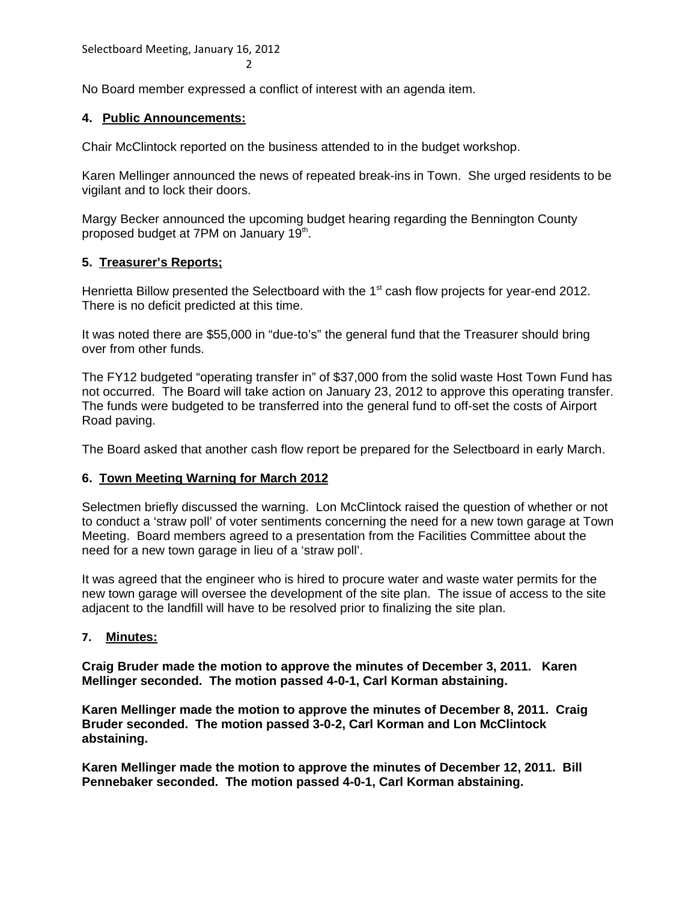Selectboard Meeting, January 16, 2012 2

No Board member expressed a conflict of interest with an agenda item.

#### **4. Public Announcements:**

Chair McClintock reported on the business attended to in the budget workshop.

Karen Mellinger announced the news of repeated break-ins in Town. She urged residents to be vigilant and to lock their doors.

Margy Becker announced the upcoming budget hearing regarding the Bennington County proposed budget at 7PM on January 19<sup>th</sup>.

## **5. Treasurer's Reports;**

Henrietta Billow presented the Selectboard with the  $1<sup>st</sup>$  cash flow projects for year-end 2012. There is no deficit predicted at this time.

It was noted there are \$55,000 in "due-to's" the general fund that the Treasurer should bring over from other funds.

The FY12 budgeted "operating transfer in" of \$37,000 from the solid waste Host Town Fund has not occurred. The Board will take action on January 23, 2012 to approve this operating transfer. The funds were budgeted to be transferred into the general fund to off-set the costs of Airport Road paving.

The Board asked that another cash flow report be prepared for the Selectboard in early March.

## **6. Town Meeting Warning for March 2012**

Selectmen briefly discussed the warning. Lon McClintock raised the question of whether or not to conduct a 'straw poll' of voter sentiments concerning the need for a new town garage at Town Meeting. Board members agreed to a presentation from the Facilities Committee about the need for a new town garage in lieu of a 'straw poll'.

It was agreed that the engineer who is hired to procure water and waste water permits for the new town garage will oversee the development of the site plan. The issue of access to the site adjacent to the landfill will have to be resolved prior to finalizing the site plan.

## **7. Minutes:**

**Craig Bruder made the motion to approve the minutes of December 3, 2011. Karen Mellinger seconded. The motion passed 4-0-1, Carl Korman abstaining.**

**Karen Mellinger made the motion to approve the minutes of December 8, 2011. Craig Bruder seconded. The motion passed 3-0-2, Carl Korman and Lon McClintock abstaining.**

**Karen Mellinger made the motion to approve the minutes of December 12, 2011. Bill Pennebaker seconded. The motion passed 4-0-1, Carl Korman abstaining.**